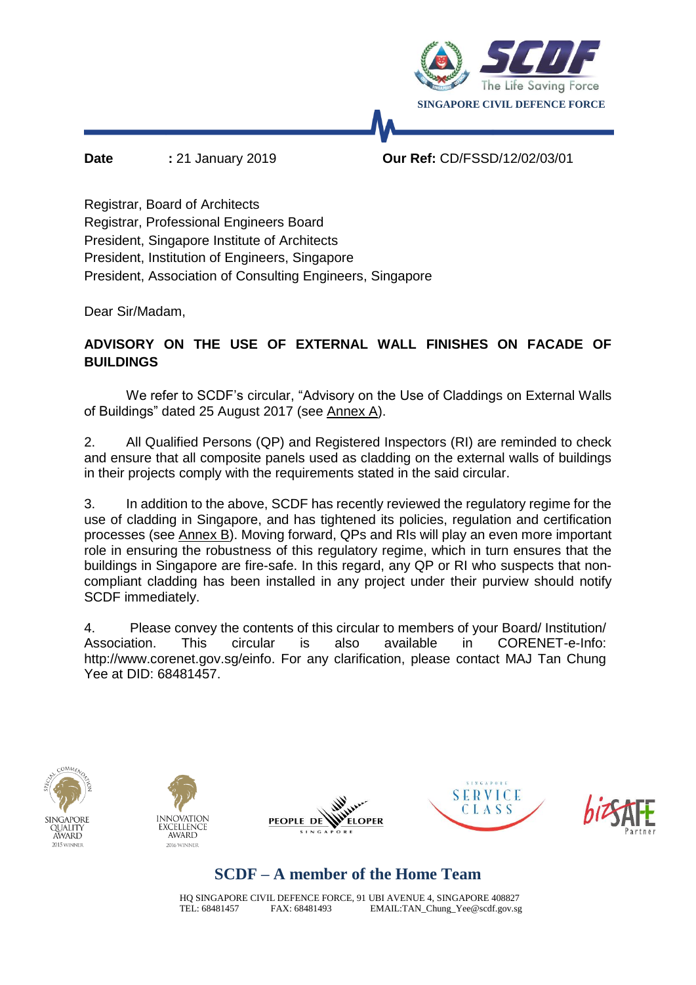

**Date :** 21 January 2019 **Our Ref:** CD/FSSD/12/02/03/01

Registrar, Board of Architects Registrar, Professional Engineers Board President, Singapore Institute of Architects President, Institution of Engineers, Singapore President, Association of Consulting Engineers, Singapore

Dear Sir/Madam,

### **ADVISORY ON THE USE OF EXTERNAL WALL FINISHES ON FACADE OF BUILDINGS**

We refer to SCDF's circular, "Advisory on the Use of Claddings on External Walls of Buildings" dated 25 August 2017 (see Annex A).

2. All Qualified Persons (QP) and Registered Inspectors (RI) are reminded to check and ensure that all composite panels used as cladding on the external walls of buildings in their projects comply with the requirements stated in the said circular.

3. In addition to the above, SCDF has recently reviewed the regulatory regime for the use of cladding in Singapore, and has tightened its policies, regulation and certification processes (see Annex B). Moving forward, QPs and RIs will play an even more important role in ensuring the robustness of this regulatory regime, which in turn ensures that the buildings in Singapore are fire-safe. In this regard, any QP or RI who suspects that noncompliant cladding has been installed in any project under their purview should notify SCDF immediately.

4. Please convey the contents of this circular to members of your Board/ Institution/ Association. This circular is also available in CORENET-e-Info: http://www.corenet.gov.sg/einfo. For any clarification, please contact MAJ Tan Chung Yee at DID: 68481457.











## **SCDF – A member of the Home Team**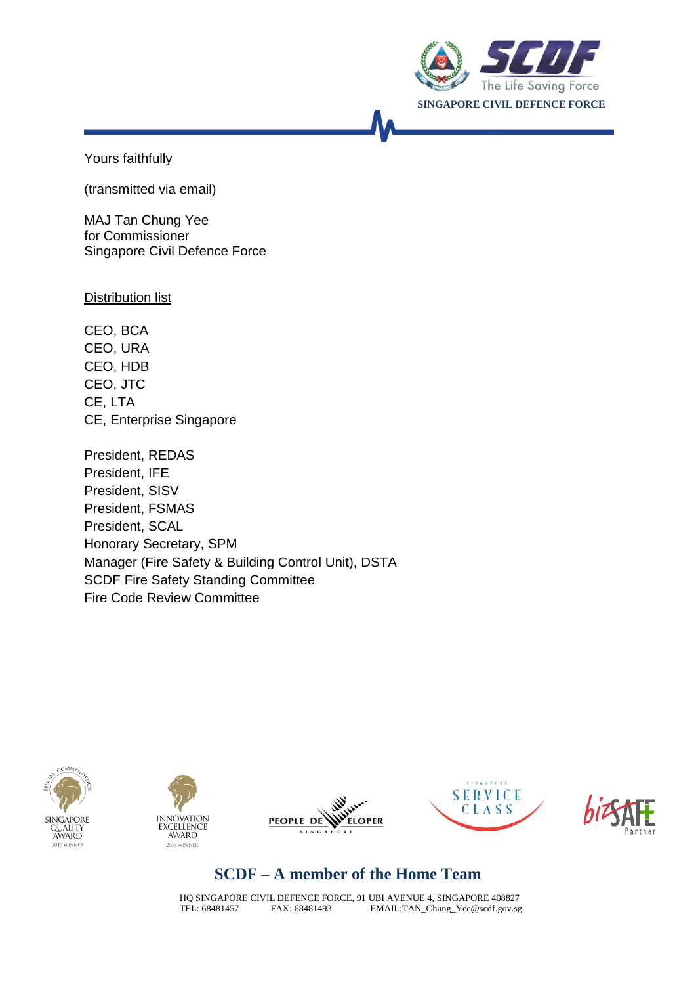

Yours faithfully

(transmitted via email)

MAJ Tan Chung Yee for Commissioner Singapore Civil Defence Force

Distribution list

CEO, BCA CEO, URA CEO, HDB CEO, JTC CE, LTA CE, Enterprise Singapore

President, REDAS President, IFE President, SISV President, FSMAS President, SCAL Honorary Secretary, SPM Manager (Fire Safety & Building Control Unit), DSTA SCDF Fire Safety Standing Committee Fire Code Review Committee











## **SCDF – A member of the Home Team**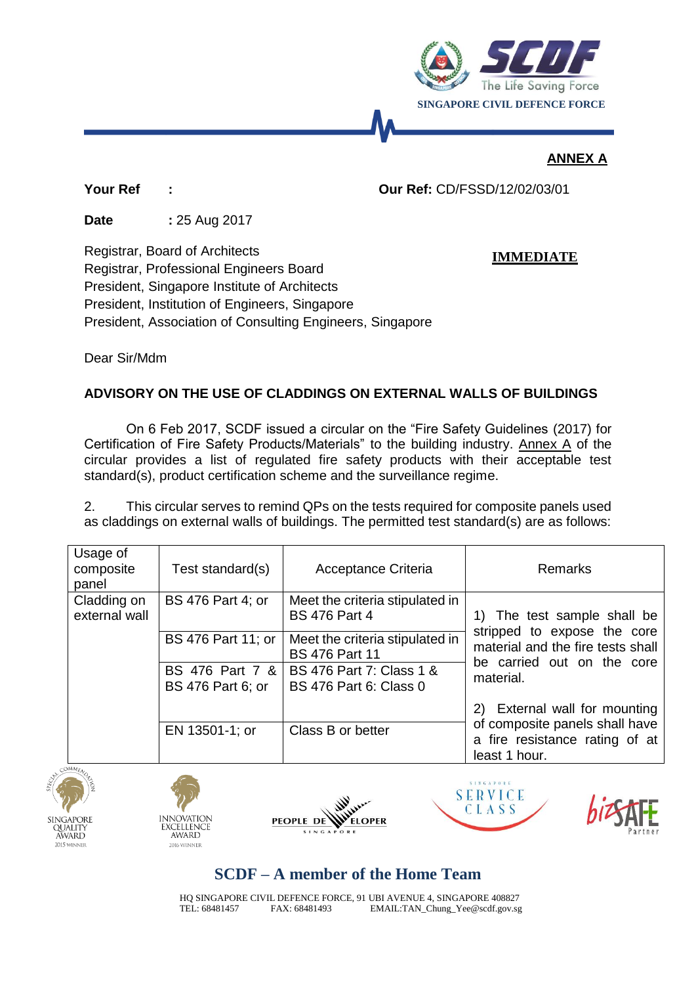

**IMMEDIATE**

### **ANNEX A**

**Your Ref : Our Ref:** CD/FSSD/12/02/03/01

**Date** : 25 Aug 2017

Registrar, Board of Architects Registrar, Professional Engineers Board President, Singapore Institute of Architects President, Institution of Engineers, Singapore President, Association of Consulting Engineers, Singapore

Dear Sir/Mdm

### **ADVISORY ON THE USE OF CLADDINGS ON EXTERNAL WALLS OF BUILDINGS**

On 6 Feb 2017, SCDF issued a circular on the "Fire Safety Guidelines (2017) for Certification of Fire Safety Products/Materials" to the building industry. Annex A of the circular provides a list of regulated fire safety products with their acceptable test standard(s), product certification scheme and the surveillance regime.

2. This circular serves to remind QPs on the tests required for composite panels used as claddings on external walls of buildings. The permitted test standard(s) are as follows:

| Usage of<br>composite<br>panel | Test standard(s)                            | Acceptance Criteria                                       | Remarks                                                                                                                                    |
|--------------------------------|---------------------------------------------|-----------------------------------------------------------|--------------------------------------------------------------------------------------------------------------------------------------------|
| Cladding on<br>external wall   | BS 476 Part 4; or                           | Meet the criteria stipulated in<br><b>BS 476 Part 4</b>   | 1) The test sample shall be<br>stripped to expose the core<br>material and the fire tests shall<br>be carried out on the core<br>material. |
|                                | BS 476 Part 11; or                          | Meet the criteria stipulated in<br><b>BS 476 Part 11</b>  |                                                                                                                                            |
|                                | BS 476 Part 7 &<br><b>BS 476 Part 6; or</b> | BS 476 Part 7: Class 1 &<br><b>BS 476 Part 6: Class 0</b> |                                                                                                                                            |
|                                |                                             |                                                           | External wall for mounting<br>2)                                                                                                           |
|                                | EN 13501-1; or                              | Class B or better                                         | of composite panels shall have<br>a fire resistance rating of at<br>least 1 hour.                                                          |











# **SCDF – A member of the Home Team**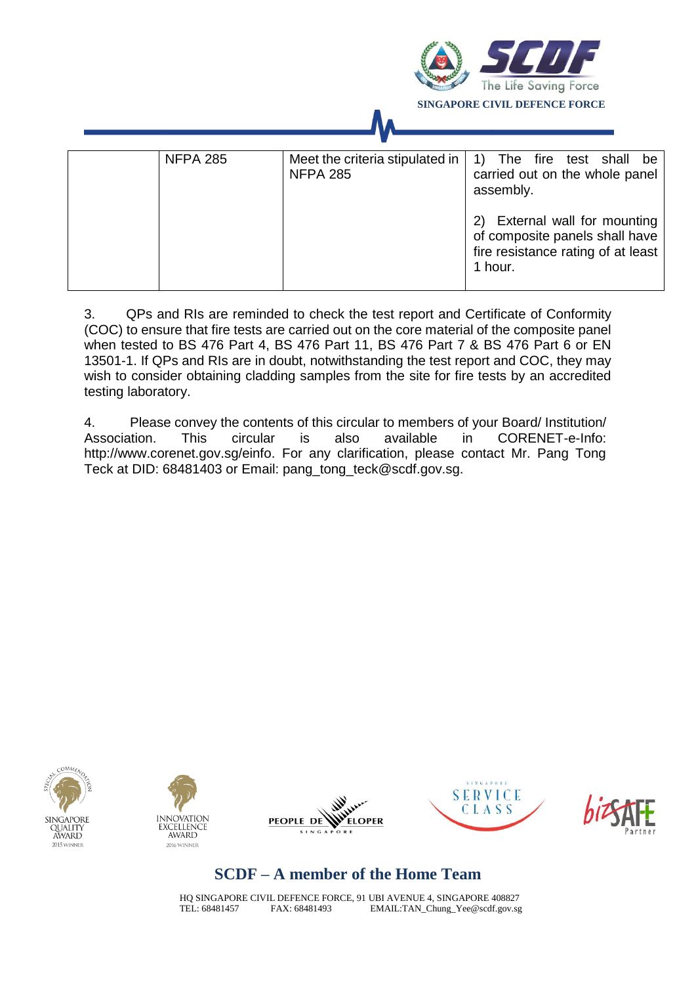

3. QPs and RIs are reminded to check the test report and Certificate of Conformity (COC) to ensure that fire tests are carried out on the core material of the composite panel when tested to BS 476 Part 4, BS 476 Part 11, BS 476 Part 7 & BS 476 Part 6 or EN 13501-1. If QPs and RIs are in doubt, notwithstanding the test report and COC, they may wish to consider obtaining cladding samples from the site for fire tests by an accredited testing laboratory.

4. Please convey the contents of this circular to members of your Board/ Institution/ Association. This circular is also available in CORENET-e-Info: http://www.corenet.gov.sg/einfo. For any clarification, please contact Mr. Pang Tong Teck at DID: 68481403 or Email: pang\_tong\_teck@scdf.gov.sg.











# **SCDF – A member of the Home Team**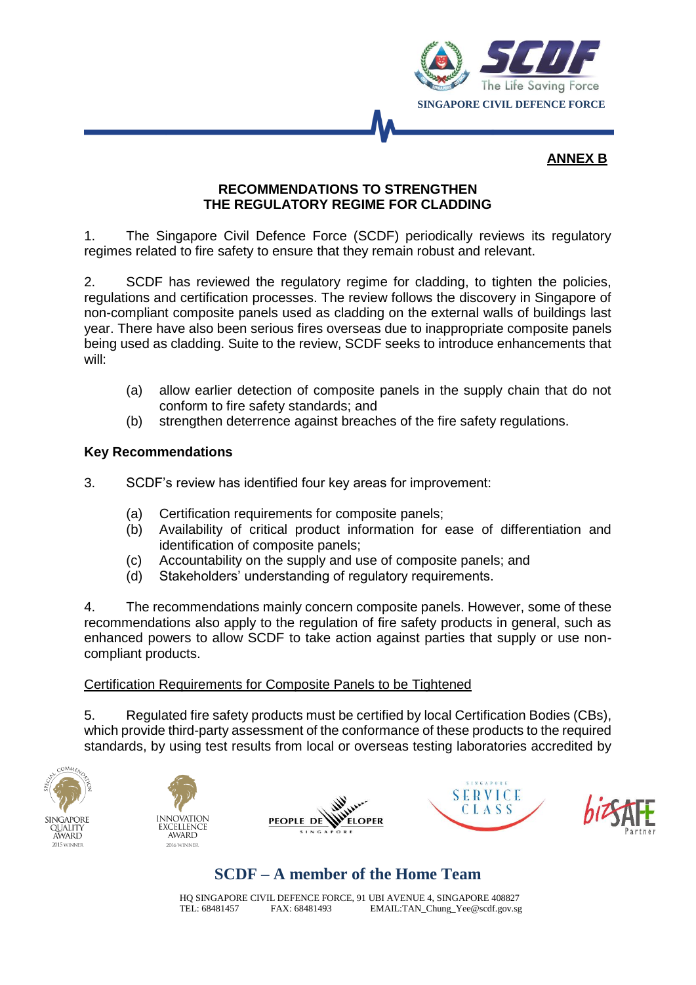

#### **ANNEX B**

### **RECOMMENDATIONS TO STRENGTHEN THE REGULATORY REGIME FOR CLADDING**

1. The Singapore Civil Defence Force (SCDF) periodically reviews its regulatory regimes related to fire safety to ensure that they remain robust and relevant.

2. SCDF has reviewed the regulatory regime for cladding, to tighten the policies, regulations and certification processes. The review follows the discovery in Singapore of non-compliant composite panels used as cladding on the external walls of buildings last year. There have also been serious fires overseas due to inappropriate composite panels being used as cladding. Suite to the review, SCDF seeks to introduce enhancements that will:

- (a) allow earlier detection of composite panels in the supply chain that do not conform to fire safety standards; and
- (b) strengthen deterrence against breaches of the fire safety regulations.

#### **Key Recommendations**

- 3. SCDF's review has identified four key areas for improvement:
	- (a) Certification requirements for composite panels;
	- (b) Availability of critical product information for ease of differentiation and identification of composite panels;
	- (c) Accountability on the supply and use of composite panels; and
	- (d) Stakeholders' understanding of regulatory requirements.

4. The recommendations mainly concern composite panels. However, some of these recommendations also apply to the regulation of fire safety products in general, such as enhanced powers to allow SCDF to take action against parties that supply or use noncompliant products.

### Certification Requirements for Composite Panels to be Tightened

5. Regulated fire safety products must be certified by local Certification Bodies (CBs), which provide third-party assessment of the conformance of these products to the required standards, by using test results from local or overseas testing laboratories accredited by





V. **ELOPER PEOPLE DE** 





## **SCDF – A member of the Home Team**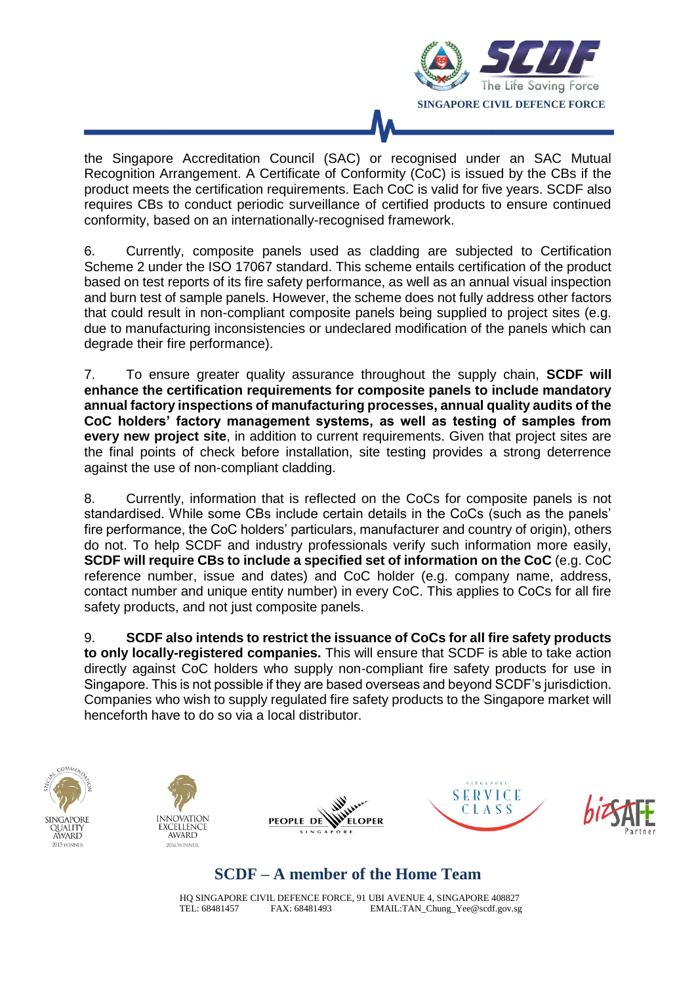

the Singapore Accreditation Council (SAC) or recognised under an SAC Mutual Recognition Arrangement. A Certificate of Conformity (CoC) is issued by the CBs if the product meets the certification requirements. Each CoC is valid for five years. SCDF also requires CBs to conduct periodic surveillance of certified products to ensure continued conformity, based on an internationally-recognised framework.

6. Currently, composite panels used as cladding are subjected to Certification Scheme 2 under the ISO 17067 standard. This scheme entails certification of the product based on test reports of its fire safety performance, as well as an annual visual inspection and burn test of sample panels. However, the scheme does not fully address other factors that could result in non-compliant composite panels being supplied to project sites (e.g. due to manufacturing inconsistencies or undeclared modification of the panels which can degrade their fire performance).

7. To ensure greater quality assurance throughout the supply chain, **SCDF will enhance the certification requirements for composite panels to include mandatory annual factory inspections of manufacturing processes, annual quality audits of the CoC holders' factory management systems, as well as testing of samples from every new project site**, in addition to current requirements. Given that project sites are the final points of check before installation, site testing provides a strong deterrence against the use of non-compliant cladding.

8. Currently, information that is reflected on the CoCs for composite panels is not standardised. While some CBs include certain details in the CoCs (such as the panels' fire performance, the CoC holders' particulars, manufacturer and country of origin), others do not. To help SCDF and industry professionals verify such information more easily, **SCDF will require CBs to include a specified set of information on the CoC** (e.g. CoC reference number, issue and dates) and CoC holder (e.g. company name, address, contact number and unique entity number) in every CoC. This applies to CoCs for all fire safety products, and not just composite panels.

9. **SCDF also intends to restrict the issuance of CoCs for all fire safety products to only locally-registered companies.** This will ensure that SCDF is able to take action directly against CoC holders who supply non-compliant fire safety products for use in Singapore. This is not possible if they are based overseas and beyond SCDF's jurisdiction. Companies who wish to supply regulated fire safety products to the Singapore market will henceforth have to do so via a local distributor.











## **SCDF – A member of the Home Team**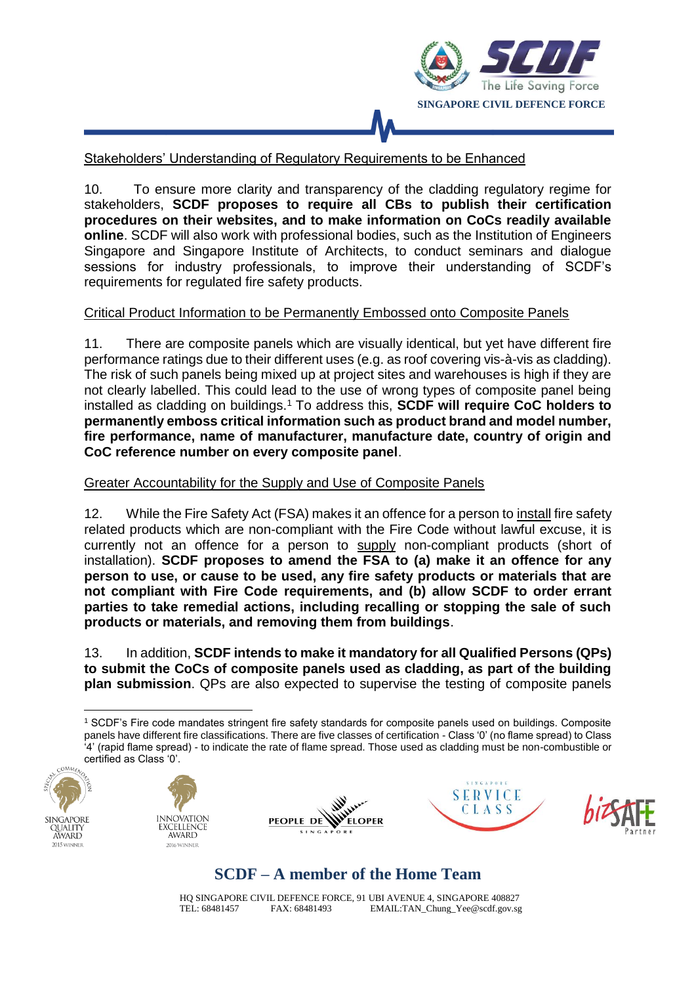

### Stakeholders' Understanding of Regulatory Requirements to be Enhanced

10. To ensure more clarity and transparency of the cladding regulatory regime for stakeholders, **SCDF proposes to require all CBs to publish their certification procedures on their websites, and to make information on CoCs readily available online**. SCDF will also work with professional bodies, such as the Institution of Engineers Singapore and Singapore Institute of Architects, to conduct seminars and dialogue sessions for industry professionals, to improve their understanding of SCDF's requirements for regulated fire safety products.

#### Critical Product Information to be Permanently Embossed onto Composite Panels

11. There are composite panels which are visually identical, but yet have different fire performance ratings due to their different uses (e.g. as roof covering vis-à-vis as cladding). The risk of such panels being mixed up at project sites and warehouses is high if they are not clearly labelled. This could lead to the use of wrong types of composite panel being installed as cladding on buildings.<sup>1</sup> To address this, **SCDF will require CoC holders to permanently emboss critical information such as product brand and model number, fire performance, name of manufacturer, manufacture date, country of origin and CoC reference number on every composite panel**.

#### Greater Accountability for the Supply and Use of Composite Panels

12. While the Fire Safety Act (FSA) makes it an offence for a person to install fire safety related products which are non-compliant with the Fire Code without lawful excuse, it is currently not an offence for a person to supply non-compliant products (short of installation). **SCDF proposes to amend the FSA to (a) make it an offence for any person to use, or cause to be used, any fire safety products or materials that are not compliant with Fire Code requirements, and (b) allow SCDF to order errant parties to take remedial actions, including recalling or stopping the sale of such products or materials, and removing them from buildings**.

13. In addition, **SCDF intends to make it mandatory for all Qualified Persons (QPs) to submit the CoCs of composite panels used as cladding, as part of the building plan submission**. QPs are also expected to supervise the testing of composite panels

<sup>&</sup>lt;u>.</u> <sup>1</sup> SCDF's Fire code mandates stringent fire safety standards for composite panels used on buildings. Composite panels have different fire classifications. There are five classes of certification - Class '0' (no flame spread) to Class '4' (rapid flame spread) - to indicate the rate of flame spread. Those used as cladding must be non-combustible or certified as Class '0'.





溪 **Allen ELOPER PEOPLE DE** 





### **SCDF – A member of the Home Team**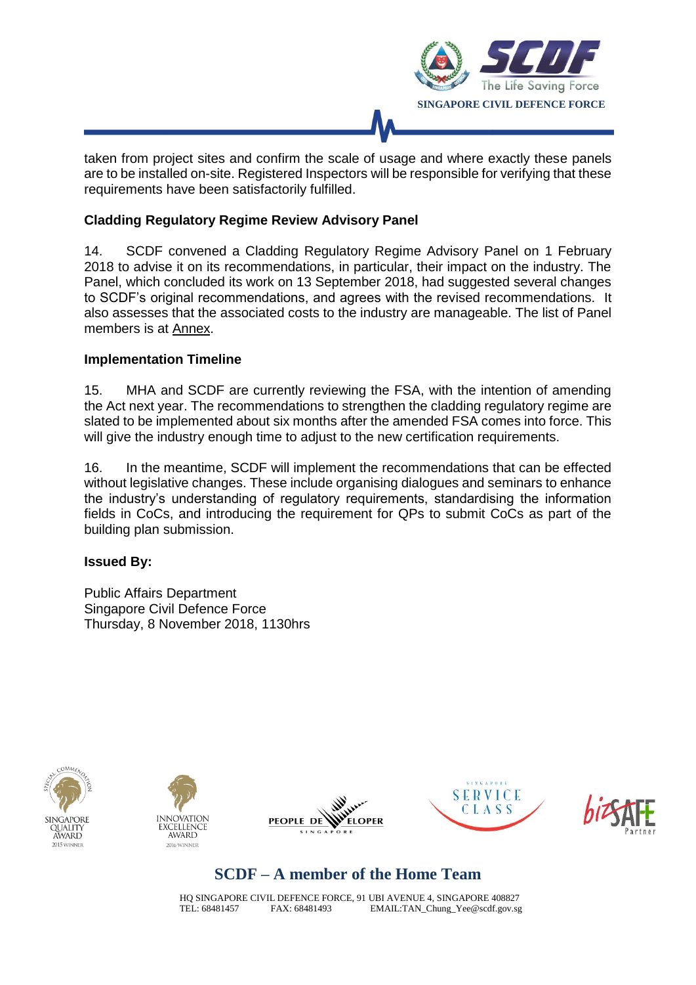

taken from project sites and confirm the scale of usage and where exactly these panels are to be installed on-site. Registered Inspectors will be responsible for verifying that these requirements have been satisfactorily fulfilled.

### **Cladding Regulatory Regime Review Advisory Panel**

14. SCDF convened a Cladding Regulatory Regime Advisory Panel on 1 February 2018 to advise it on its recommendations, in particular, their impact on the industry. The Panel, which concluded its work on 13 September 2018, had suggested several changes to SCDF's original recommendations, and agrees with the revised recommendations. It also assesses that the associated costs to the industry are manageable. The list of Panel members is at Annex.

#### **Implementation Timeline**

15. MHA and SCDF are currently reviewing the FSA, with the intention of amending the Act next year. The recommendations to strengthen the cladding regulatory regime are slated to be implemented about six months after the amended FSA comes into force. This will give the industry enough time to adjust to the new certification requirements.

16. In the meantime, SCDF will implement the recommendations that can be effected without legislative changes. These include organising dialogues and seminars to enhance the industry's understanding of regulatory requirements, standardising the information fields in CoCs, and introducing the requirement for QPs to submit CoCs as part of the building plan submission.

#### **Issued By:**

Public Affairs Department Singapore Civil Defence Force Thursday, 8 November 2018, 1130hrs











## **SCDF – A member of the Home Team**